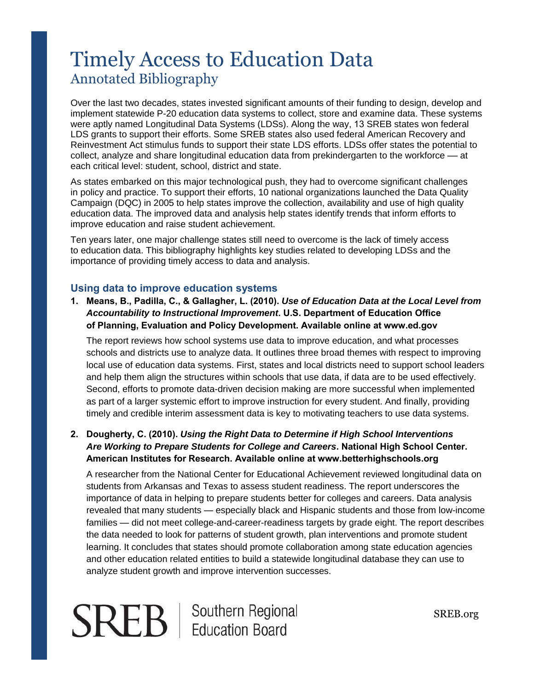# Timely Access to Education Data Annotated Bibliography

Over the last two decades, states invested significant amounts of their funding to design, develop and implement statewide P-20 education data systems to collect, store and examine data. These systems were aptly named Longitudinal Data Systems (LDSs). Along the way, 13 SREB states won federal LDS grants to support their efforts. Some SREB states also used federal American Recovery and Reinvestment Act stimulus funds to support their state LDS efforts. LDSs offer states the potential to collect, analyze and share longitudinal education data from prekindergarten to the workforce –– at each critical level: student, school, district and state.

As states embarked on this major technological push, they had to overcome significant challenges in policy and practice. To support their efforts, 10 national organizations launched the Data Quality Campaign (DQC) in 2005 to help states improve the collection, availability and use of high quality education data. The improved data and analysis help states identify trends that inform efforts to improve education and raise student achievement.

Ten years later, one major challenge states still need to overcome is the lack of timely access to education data. This bibliography highlights key studies related to developing LDSs and the importance of providing timely access to data and analysis.

#### **Using data to improve education systems**

**1. Means, B., Padilla, C., & Gallagher, L. (2010).** *Use of Education Data at the Local Level from Accountability to Instructional Improvement***. U.S. Department of Education Office of Planning, Evaluation and Policy Development. Available online at www.ed.gov** 

The report reviews how school systems use data to improve education, and what processes schools and districts use to analyze data. It outlines three broad themes with respect to improving local use of education data systems. First, states and local districts need to support school leaders and help them align the structures within schools that use data, if data are to be used effectively. Second, efforts to promote data-driven decision making are more successful when implemented as part of a larger systemic effort to improve instruction for every student. And finally, providing timely and credible interim assessment data is key to motivating teachers to use data systems.

### **2. Dougherty, C. (2010).** *Using the Right Data to Determine if High School Interventions Are Working to Prepare Students for College and Careers***. National High School Center. American Institutes for Research. Available online at [www.betterhighschools.org](http://www.betterhighschools.org/)**

A researcher from the National Center for Educational Achievement reviewed longitudinal data on students from Arkansas and Texas to assess student readiness. The report underscores the importance of data in helping to prepare students better for colleges and careers. Data analysis revealed that many students — especially black and Hispanic students and those from low-income families — did not meet college-and-career-readiness targets by grade eight. The report describes the data needed to look for patterns of student growth, plan interventions and promote student learning. It concludes that states should promote collaboration among state education agencies and other education related entities to build a statewide longitudinal database they can use to analyze student growth and improve intervention successes.

**SREB** | Southern Regional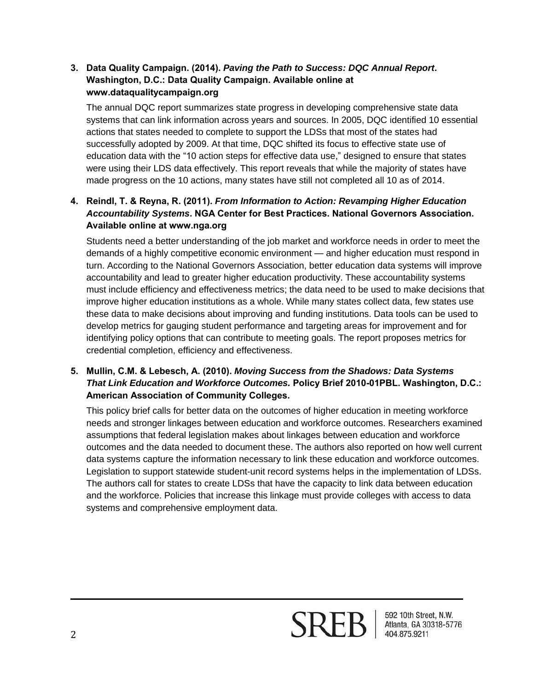#### **3. Data Quality Campaign. (2014).** *Paving the Path to Success: DQC Annual Report***. Washington, D.C.: Data Quality Campaign. Available online at www.dataqualitycampaign.org**

The annual DQC report summarizes state progress in developing comprehensive state data systems that can link information across years and sources. In 2005, DQC identified 10 essential actions that states needed to complete to support the LDSs that most of the states had successfully adopted by 2009. At that time, DQC shifted its focus to effective state use of education data with the "10 action steps for effective data use," designed to ensure that states were using their LDS data effectively. This report reveals that while the majority of states have made progress on the 10 actions, many states have still not completed all 10 as of 2014.

# **4. Reindl, T. & Reyna, R. (2011).** *From Information to Action: Revamping Higher Education Accountability Systems***. NGA Center for Best Practices. National Governors Association. Available online at www.nga.org**

Students need a better understanding of the job market and workforce needs in order to meet the demands of a highly competitive economic environment — and higher education must respond in turn. According to the National Governors Association, better education data systems will improve accountability and lead to greater higher education productivity. These accountability systems must include efficiency and effectiveness metrics; the data need to be used to make decisions that improve higher education institutions as a whole. While many states collect data, few states use these data to make decisions about improving and funding institutions. Data tools can be used to develop metrics for gauging student performance and targeting areas for improvement and for identifying policy options that can contribute to meeting goals. The report proposes metrics for credential completion, efficiency and effectiveness.

# **5. Mullin, C.M. & Lebesch, A. (2010).** *Moving Success from the Shadows: Data Systems That Link Education and Workforce Outcomes.* **Policy Brief 2010-01PBL. Washington, D.C.: American Association of Community Colleges.**

This policy brief calls for better data on the outcomes of higher education in meeting workforce needs and stronger linkages between education and workforce outcomes. Researchers examined assumptions that federal legislation makes about linkages between education and workforce outcomes and the data needed to document these. The authors also reported on how well current data systems capture the information necessary to link these education and workforce outcomes. Legislation to support statewide student-unit record systems helps in the implementation of LDSs. The authors call for states to create LDSs that have the capacity to link data between education and the workforce. Policies that increase this linkage must provide colleges with access to data systems and comprehensive employment data.

592 10th Street, N.W.<br>Atlanta, GA 30318-5776<br>404.875.9211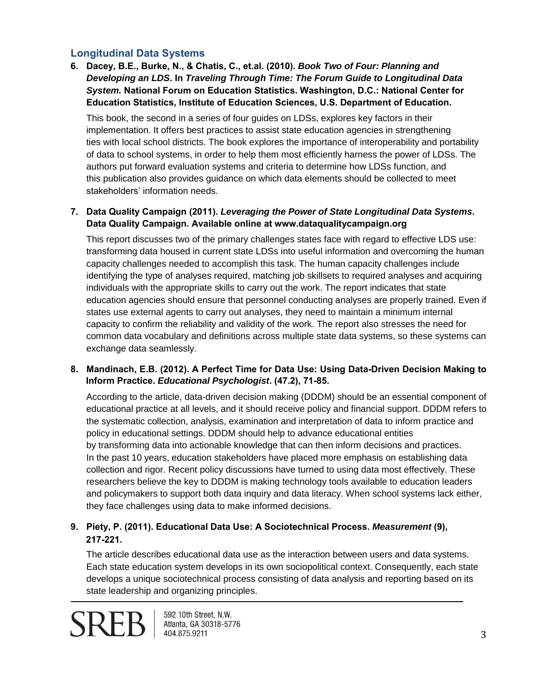# **Longitudinal Data Systems**

**6. Dacey, B.E., Burke, N., & Chatis, C., et.al. (2010).** *Book Two of Four: Planning and Developing an LDS***. In** *Traveling Through Time: The Forum Guide to Longitudinal Data System.* **National Forum on Education Statistics. Washington, D.C.: National Center for Education Statistics, Institute of Education Sciences, U.S. Department of Education.** 

This book, the second in a series of four guides on LDSs, explores key factors in their implementation. It offers best practices to assist state education agencies in strengthening ties with local school districts. The book explores the importance of interoperability and portability of data to school systems, in order to help them most efficiently harness the power of LDSs. The authors put forward evaluation systems and criteria to determine how LDSs function, and this publication also provides guidance on which data elements should be collected to meet stakeholders' information needs.

## **7. Data Quality Campaign (2011).** *Leveraging the Power of State Longitudinal Data Systems***. Data Quality Campaign. Available online at www.dataqualitycampaign.org**

This report discusses two of the primary challenges states face with regard to effective LDS use: transforming data housed in current state LDSs into useful information and overcoming the human capacity challenges needed to accomplish this task. The human capacity challenges include identifying the type of analyses required, matching job skillsets to required analyses and acquiring individuals with the appropriate skills to carry out the work. The report indicates that state education agencies should ensure that personnel conducting analyses are properly trained. Even if states use external agents to carry out analyses, they need to maintain a minimum internal capacity to confirm the reliability and validity of the work. The report also stresses the need for common data vocabulary and definitions across multiple state data systems, so these systems can exchange data seamlessly.

#### **8. Mandinach, E.B. (2012). A Perfect Time for Data Use: Using Data-Driven Decision Making to Inform Practice.** *Educational Psychologist***. (47.2), 71-85.**

According to the article, data-driven decision making (DDDM) should be an essential component of educational practice at all levels, and it should receive policy and financial support. DDDM refers to the systematic collection, analysis, examination and interpretation of data to inform practice and policy in educational settings. DDDM should help to advance educational entities by transforming data into actionable knowledge that can then inform decisions and practices. In the past 10 years, education stakeholders have placed more emphasis on establishing data collection and rigor. Recent policy discussions have turned to using data most effectively. These researchers believe the key to DDDM is making technology tools available to education leaders and policymakers to support both data inquiry and data literacy. When school systems lack either, they face challenges using data to make informed decisions.

# **9. Piety, P. (2011). Educational Data Use: A Sociotechnical Process.** *Measurement* **(9), 217-221.**

The article describes educational data use as the interaction between users and data systems. Each state education system develops in its own sociopolitical context. Consequently, each state develops a unique sociotechnical process consisting of data analysis and reporting based on its state leadership and organizing principles.



592 10th Street, N.W. Atlanta, GA 30318-5776 404.875.9211